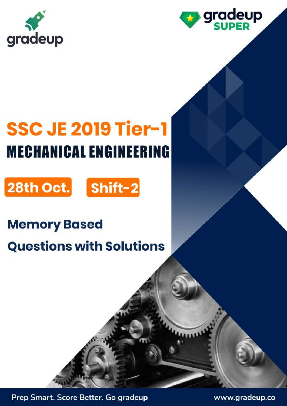



# **SSC JE 2019 Tier-1 MECHANICAL ENGINEERING**





# **Memory Based**

# **Questions with Solutions**

Prep Smart. Score Better. Go gradeup

www.gradeup.co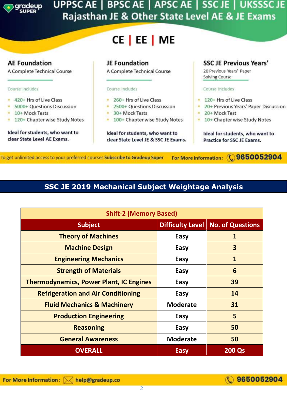

## UPPSC AE | BPSC AE | APSC AE | SSC JE | UKSSSC JE Rajasthan JE & Other State Level AE & JE Exams

# CE | EE | ME



For More Information: ( 9650052904 To get unlimited access to your preferred courses Subscribe to Gradeup Super

#### **SSC JE 2019 Mechanical Subject Weightage Analysis**

| <b>Shift-2 (Memory Based)</b>                  |                         |                         |  |  |  |
|------------------------------------------------|-------------------------|-------------------------|--|--|--|
| <b>Subject</b>                                 | <b>Difficulty Level</b> | <b>No. of Questions</b> |  |  |  |
| <b>Theory of Machines</b>                      | Easy                    | 1                       |  |  |  |
| <b>Machine Design</b>                          | Easy                    | 3                       |  |  |  |
| <b>Engineering Mechanics</b>                   | Easy                    | $\mathbf{1}$            |  |  |  |
| <b>Strength of Materials</b>                   | Easy                    | 6                       |  |  |  |
| <b>Thermodynamics, Power Plant, IC Engines</b> | Easy                    | 39                      |  |  |  |
| <b>Refrigeration and Air Conditioning</b>      | Easy                    | 14                      |  |  |  |
| <b>Fluid Mechanics &amp; Machinery</b>         | <b>Moderate</b>         | 31                      |  |  |  |
| <b>Production Engineering</b>                  | Easy                    | 5                       |  |  |  |
| <b>Reasoning</b>                               | Easy                    | 50                      |  |  |  |
| <b>General Awareness</b>                       | <b>Moderate</b>         | 50                      |  |  |  |
| <b>OVERALL</b>                                 | <b>Easy</b>             | <b>200 Qs</b>           |  |  |  |

## 9650052904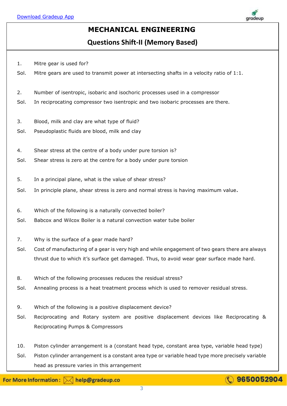

#### **MECHANICAL ENGINEERING**

**Questions Shift-II (Memory Based)**

- 1. Mitre gear is used for?
- Sol. Mitre gears are used to transmit power at intersecting shafts in a velocity ratio of 1:1.
- 2. Number of isentropic, isobaric and isochoric processes used in a compressor
- Sol. In reciprocating compressor two isentropic and two isobaric processes are there.
- 3. Blood, milk and clay are what type of fluid?
- Sol. Pseudoplastic fluids are blood, milk and clay
- 4. Shear stress at the centre of a body under pure torsion is?
- Sol. Shear stress is zero at the centre for a body under pure torsion
- 5. In a principal plane, what is the value of shear stress?
- Sol. In principle plane, shear stress is zero and normal stress is having maximum value.
- 6. Which of the following is a naturally convected boiler?
- Sol. Babcox and Wilcox Boiler is a natural convection water tube boiler
- 7. Why is the surface of a gear made hard?
- Sol. Cost of manufacturing of a gear is very high and while engagement of two gears there are always thrust due to which it's surface get damaged. Thus, to avoid wear gear surface made hard.
- 8. Which of the following processes reduces the residual stress?
- Sol. Annealing process is a heat treatment process which is used to remover residual stress.
- 9. Which of the following is a positive displacement device?
- Sol. Reciprocating and Rotary system are positive displacement devices like Reciprocating & Reciprocating Pumps & Compressors
- 10. Piston cylinder arrangement is a (constant head type, constant area type, variable head type)
- Sol. Piston cylinder arrangement is a constant area type or variable head type more precisely variable head as pressure varies in this arrangement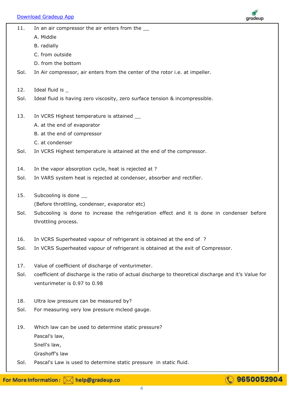

| 11. | In an air compressor the air enters from the |
|-----|----------------------------------------------|
|     |                                              |

- A. Middle
- B. radially
- C. from outside
- D. from the bottom
- Sol. In Air compressor, air enters from the center of the rotor i.e. at impeller.
- 12. Ideal fluid is \_
- Sol. Ideal fluid is having zero viscosity, zero surface tension & incompressible.
- 13. In VCRS Highest temperature is attained
	- A. at the end of evaporator
	- B. at the end of compressor
	- C. at condenser
- Sol. In VCRS Highest temperature is attained at the end of the compressor.
- 14. In the vapor absorption cycle, heat is rejected at ?
- Sol. In VARS system heat is rejected at condenser, absorber and rectifier.
- 15. Subcooling is done (Before throttling, condenser, evaporator etc)
- Sol. Subcooling is done to increase the refrigeration effect and it is done in condenser before throttling process.
- 16. In VCRS Superheated vapour of refrigerant is obtained at the end of ?
- Sol. In VCRS Superheated vapour of refrigerant is obtained at the exit of Compressor.
- 17. Value of coefficient of discharge of venturimeter.
- Sol. coefficient of discharge is the ratio of actual discharge to theoretical discharge and it's Value for venturimeter is 0.97 to 0.98
- 18. Ultra low pressure can be measured by?
- Sol. For measuring very low pressure mcleod gauge.
- 19. Which law can be used to determine static pressure? Pascal's law,
	- Snell's law, Grashoff's law
- Sol. Pascal's Law is used to determine static pressure in static fluid.

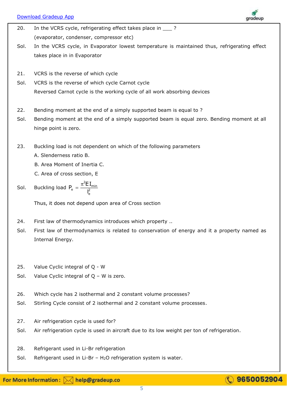[Download Gradeup App](https://bit.ly/31O9zrF)



- 20. In the VCRS cycle, refrigerating effect takes place in \_\_\_\_ ? (evaporator, condenser, compressor etc)
- Sol. In the VCRS cycle, in Evaporator lowest temperature is maintained thus, refrigerating effect takes place in in Evaporator
- 21. VCRS is the reverse of which cycle
- Sol. VCRS is the reverse of which cycle Carnot cycle Reversed Carnot cycle is the working cycle of all work absorbing devices
- 22. Bending moment at the end of a simply supported beam is equal to ?
- Sol. Bending moment at the end of a simply supported beam is equal zero. Bending moment at all hinge point is zero.
- 23. Buckling load is not dependent on which of the following parameters
	- A. Slenderness ratio B.
	- B. Area Moment of Inertia C.
	- C. Area of cross section, E
- Sol. Buckling load 2 min  $P_e = \frac{\pi^2 EI}{l^2}$ e l  $=\frac{\pi}{2}$

Thus, it does not depend upon area of Cross section

- 24. First law of thermodynamics introduces which property ..
- Sol. First law of thermodynamics is related to conservation of energy and it a property named as Internal Energy.
- 25. Value Cyclic integral of Q W
- Sol. Value Cyclic integral of Q W is zero.
- 26. Which cycle has 2 isothermal and 2 constant volume processes?
- Sol. Stirling Cycle consist of 2 isothermal and 2 constant volume processes.
- 27. Air refrigeration cycle is used for?
- Sol. Air refrigeration cycle is used in aircraft due to its low weight per ton of refrigeration.
- 28. Refrigerant used in Li-Br refrigeration
- Sol. Refrigerant used in Li-Br  $H_2O$  refrigeration system is water.

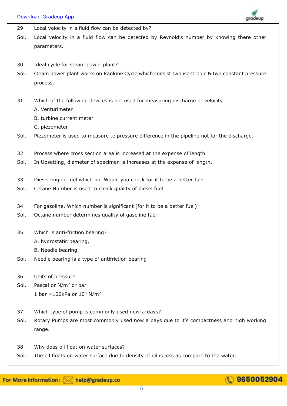

| 29.  | Local velocity in a fluid flow can be detected by?                                            |
|------|-----------------------------------------------------------------------------------------------|
| Sol. | Local velocity in a fluid flow can be detected by Reynold's number by knowing there other     |
|      | parameters.                                                                                   |
|      |                                                                                               |
| 30.  | Ideal cycle for steam power plant?                                                            |
| Sol. | steam power plant works on Rankine Cycle which consist two isentropic & two constant pressure |
|      | process.                                                                                      |
|      |                                                                                               |
| 31.  | Which of the following devices is not used for measuring discharge or velocity                |
|      | A. Venturimeter                                                                               |
|      | B. turbine current meter                                                                      |
|      | C. piezometer                                                                                 |
| Sol. | Piezometer is used to measure te pressure difference in the pipeline not for the discharge.   |
|      |                                                                                               |
| 32.  | Process where cross section area is increased at the expense of length                        |
| Sol. | In Upsetting, diameter of specimen is increases at the expense of length.                     |
|      |                                                                                               |
| 33.  | Diesel engine fuel which no. Would you check for it to be a better fuel                       |
| Sol. | Cetane Number is used to check quality of diesel fuel                                         |
|      |                                                                                               |
| 34.  | For gasoline, Which number is significant (for it to be a better fuel)                        |
| Sol. | Octane number determines quality of gasoline fuel                                             |
|      |                                                                                               |
| 35.  | Which is anti-friction bearing?                                                               |
|      | A. hydrostatic bearing,                                                                       |
|      | B. Needle bearing                                                                             |
| Sol. | Needle bearing is a type of antifriction bearing                                              |
|      |                                                                                               |
| 36.  | Units of pressure                                                                             |
| Sol. | Pascal or N/m <sup>2</sup> or bar                                                             |
|      | 1 bar = 100kPa or $10^5$ N/m <sup>2</sup>                                                     |
|      |                                                                                               |
| 37.  | Which type of pump is commonly used now-a-days?                                               |
| Sol. | Rotary Pumps are most commonly used now a days due to it's compactness and high working       |
|      | range.                                                                                        |
|      |                                                                                               |
| 38.  | Why does oil float on water surfaces?                                                         |
| Sol. | The oil floats on water surface due to density of oil is less as compare to the water.        |

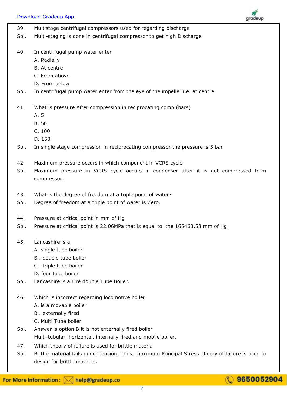

| 39.  | Multistage centrifugal compressors used for regarding discharge                                   |
|------|---------------------------------------------------------------------------------------------------|
| Sol. | Multi-staging is done in centrifugal compressor to get high Discharge                             |
|      |                                                                                                   |
| 40.  | In centrifugal pump water enter                                                                   |
|      | A. Radially                                                                                       |
|      | B. At centre                                                                                      |
|      | C. From above                                                                                     |
|      | D. From below                                                                                     |
| Sol. | In centrifugal pump water enter from the eye of the impeller i.e. at centre.                      |
|      |                                                                                                   |
| 41.  | What is pressure After compression in reciprocating comp.(bars)                                   |
|      | A. 5                                                                                              |
|      | B. 50                                                                                             |
|      | C. 100                                                                                            |
|      | D. 150                                                                                            |
| Sol. | In single stage compression in reciprocating compressor the pressure is 5 bar                     |
|      |                                                                                                   |
| 42.  | Maximum pressure occurs in which component in VCRS cycle                                          |
| Sol. | Maximum pressure in VCRS cycle occurs in condenser after it is get compressed from                |
|      | compressor.                                                                                       |
|      |                                                                                                   |
| 43.  | What is the degree of freedom at a triple point of water?                                         |
| Sol. | Degree of freedom at a triple point of water is Zero.                                             |
|      |                                                                                                   |
| 44.  | Pressure at critical point in mm of Hg                                                            |
| Sol. | Pressure at critical point is 22.06MPa that is equal to the 165463.58 mm of Hg.                   |
|      |                                                                                                   |
| 45.  | Lancashire is a                                                                                   |
|      | A. single tube boiler                                                                             |
|      | B. double tube boiler                                                                             |
|      | C. triple tube boiler                                                                             |
|      | D. four tube boiler                                                                               |
| Sol. | Lancashire is a Fire double Tube Boiler.                                                          |
|      |                                                                                                   |
| 46.  | Which is incorrect regarding locomotive boiler                                                    |
|      | A. is a movable boiler                                                                            |
|      | B. externally fired                                                                               |
|      | C. Multi Tube boiler                                                                              |
| Sol. | Answer is option B it is not externally fired boiler                                              |
|      | Multi-tubular, horizontal, internally fired and mobile boiler.                                    |
| 47.  | Which theory of failure is used for brittle material                                              |
| Sol. | Brittle material fails under tension. Thus, maximum Principal Stress Theory of failure is used to |
|      | design for brittle material.                                                                      |

7

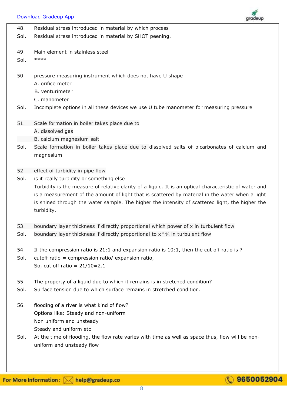[Download Gradeup App](https://bit.ly/31O9zrF) ıradeur 48. Residual stress introduced in material by which process Sol. Residual stress introduced in material by SHOT peening. 49. Main element in stainless steel Sol. \*\*\*\* 50. pressure measuring instrument which does not have U shape A. orifice meter B. venturimeter C. manometer Sol. Incomplete options in all these devices we use U tube manometer for measuring pressure 51. Scale formation in boiler takes place due to A. dissolved gas B. calcium magnesium salt Sol. Scale formation in boiler takes place due to dissolved salts of bicarbonates of calcium and magnesium 52. effect of turbidity in pipe flow Sol. is it really turbidity or something else Turbidity is the measure of relative clarity of a liquid. It is an optical characteristic of water and is a measurement of the amount of light that is scattered by material in the water when a light is shined through the water sample. The higher the intensity of scattered light, the higher the turbidity. 53. boundary layer thickness if directly proportional which power of x in turbulent flow Sol. boundary layer thickness if directly proportional to  $x^{\wedge}$  in turbulent flow 54. If the compression ratio is 21:1 and expansion ratio is 10:1, then the cut off ratio is ? Sol. cutoff ratio = compression ratio/ expansion ratio, So, cut off ratio =  $21/10=2.1$ 55. The property of a liquid due to which it remains is in stretched condition? Sol. Surface tension due to which surface remains in stretched condition. 56. flooding of a river is what kind of flow? Options like: Steady and non-uniform Non uniform and unsteady Steady and uniform etc Sol. At the time of flooding, the flow rate varies with time as well as space thus, flow will be nonuniform and unsteady flow

## 9650052904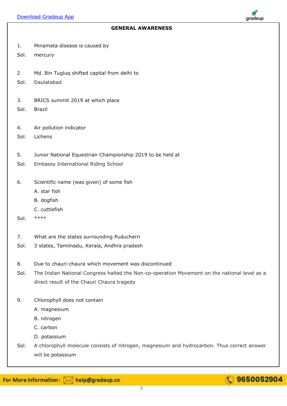# gradeup

- 1. Minamata disease is caused by
- Sol. mercury
- 2 Md. Bin Tugluq shifted capital from delhi to
- Sol. Daulatabad
- 3. BRICS summit 2019 at which place
- Sol. Brazil
- 4. Air pollution indicator
- Sol. Lichens
- 5. Junior National Equestrian Championship 2019 to be held at
- Sol. Embassy International Riding School
- 6. Scientific name (was given) of some fish
	- A. star fish
	- B. dogfish
	- C. cuttlefish
- Sol. \*\*\*\*
- 7. What are the states surrounding Puducherri
- Sol. 3 states, Tamilnadu, Kerala, Andhra pradesh
- 8. Due to chauri-chaura which movement was discontinued
- Sol. The Indian National Congress halted the Non-co-operation Movement on the national level as a direct result of the Chauri Chaura tragedy
- 9. Chlorophyll does not contain
	- A. magnesium
	- B. nitrogen
	- C. carbon
	- D. potassium
- Sol. A chlorophyll molecule consists of nitrogen, magnesium and hydrocarbon. Thus correct answer will be potassium

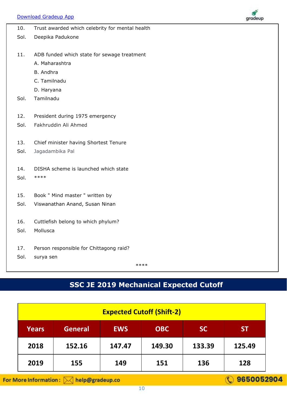

| 10.  | Trust awarded which celebrity for mental health |
|------|-------------------------------------------------|
| Sol. | Deepika Padukone                                |
|      |                                                 |
| 11.  | ADB funded which state for sewage treatment     |
|      | A. Maharashtra                                  |
|      | B. Andhra                                       |
|      | C. Tamilnadu                                    |
|      | D. Haryana                                      |
| Sol. | Tamilnadu                                       |
|      |                                                 |
| 12.  | President during 1975 emergency                 |
| Sol. | Fakhruddin Ali Ahmed                            |
|      |                                                 |
| 13.  | Chief minister having Shortest Tenure           |
| Sol. | Jagadambika Pal                                 |
|      |                                                 |
| 14.  | DISHA scheme is launched which state            |
| Sol. | ****                                            |
|      |                                                 |
| 15.  | Book " Mind master " written by                 |
| Sol. | Viswanathan Anand, Susan Ninan                  |
|      |                                                 |
| 16.  | Cuttlefish belong to which phylum?              |
| Sol. | Mollusca                                        |
| 17.  |                                                 |
| Sol. | Person responsible for Chittagong raid?         |
|      | surya sen<br>****                               |
|      |                                                 |

## **SSC JE 2019 Mechanical Expected Cutoff**

| <b>Expected Cutoff (Shift-2)</b> |                |            |            |           |           |
|----------------------------------|----------------|------------|------------|-----------|-----------|
| <b>Years</b>                     | <b>General</b> | <b>EWS</b> | <b>OBC</b> | <b>SC</b> | <b>ST</b> |
| 2018                             | 152.16         | 147.47     | 149.30     | 133.39    | 125.49    |
| 2019                             | 155            | 149        | 151        | 136       | 128       |

For More Information: M help@gradeup.co

**C** 9650052904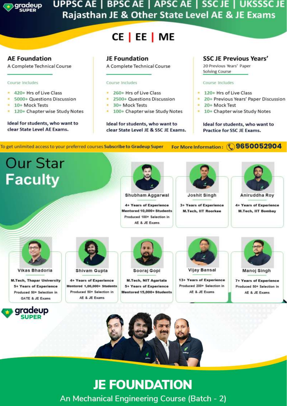

## UPPSC AE | BPSC AE | APSC AE | SSC JE | UKSSSC JE Rajasthan JE & Other State Level AE & JE Exams

# CE | EE | ME

#### **AE Foundation**

A Complete Technical Course

#### Course Includes

- 420+ Hrs of Live Class
- \* 5000+ Questions Discussion
- 10+ Mock Tests
- 120+ Chapter wise Study Notes  $\mathbf{R}$

#### Ideal for students, who want to clear State Level AE Exams.

#### **JE Foundation**

A Complete Technical Course

#### Course Includes

- 260+ Hrs of Live Class
- 2500+ Questions Discussion
- 30+ Mock Tests
- 100+ Chapter wise Study Notes

#### Ideal for students, who want to clear State Level JE & SSC JE Exams.

#### **SSC JE Previous Years'**

20 Previous Years' Paper Solving Course

#### Course Includes

- 120+ Hrs of Live Class
- 20+ Previous Years' Paper Discussion
- 20+ Mock Test
- 10+ Chapter wise Study Notes

Ideal for students, who want to **Practice for SSC JE Exams.** 

To get unlimited access to your preferred courses Subscribe to Gradeup Super

For More Information: (1) 9650052904

# **Our Star Faculty**



Shubham Aggarwal

4+ Years of Experience Mentored 10,000+ Students Produced 100+ Selection in AF & JF Exams



Joshit Singh

3+ Years of Experience **M.Tech, IIT Roorkee** 

# Aniruddha Roy

4+ Years of Experience **M.Tech, IIT Bombay** 



**Vikas Bhadoria** 

**M.Tech, Thapar University 5+ Years of Experience** Produced 50+ Selection in **GATE & JE Exams** 





**4+ Years of Experience** Mentored 1,00,000+ Students Produced 50+ Selection in

AE & JE Exams



**M.Tech, NIT Agartala 5+ Years of Experience** Mentored 15,000+ Students



13+ Years of Experience Produced 200+ Selection in AE & JE Exams



**7+ Years of Experience** Produced 50+ Selection in AE & JE Exams



# **JE FOUNDATION** An Mechanical Engineering Course (Batch - 2)